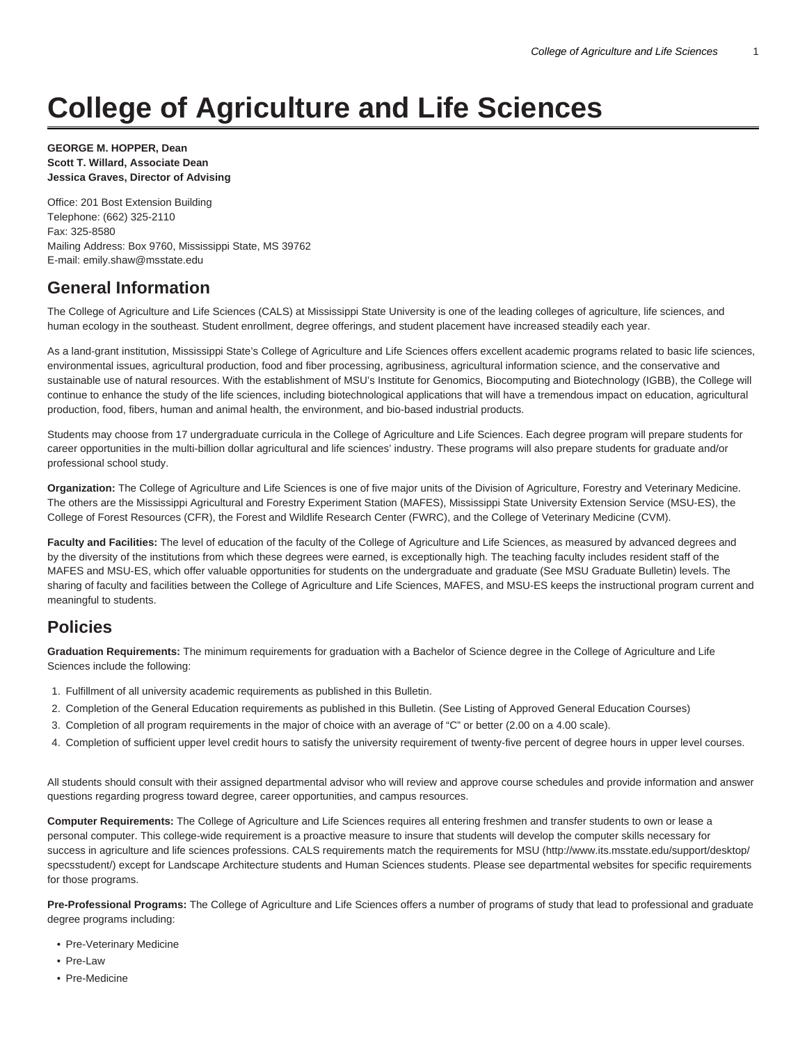# **College of Agriculture and Life Sciences**

#### **GEORGE M. HOPPER, Dean Scott T. Willard, Associate Dean Jessica Graves, Director of Advising**

Office: 201 Bost Extension Building Telephone: (662) 325-2110 Fax: 325-8580 Mailing Address: Box 9760, Mississippi State, MS 39762 E-mail: [emily.shaw@msstate.edu](mailto:emily.shaw@msstate.edu)

## **General Information**

The College of Agriculture and Life Sciences (CALS) at Mississippi State University is one of the leading colleges of agriculture, life sciences, and human ecology in the southeast. Student enrollment, degree offerings, and student placement have increased steadily each year.

As a land-grant institution, Mississippi State's College of Agriculture and Life Sciences offers excellent academic programs related to basic life sciences, environmental issues, agricultural production, food and fiber processing, agribusiness, agricultural information science, and the conservative and sustainable use of natural resources. With the establishment of MSU's Institute for Genomics, Biocomputing and Biotechnology (IGBB), the College will continue to enhance the study of the life sciences, including biotechnological applications that will have a tremendous impact on education, agricultural production, food, fibers, human and animal health, the environment, and bio-based industrial products.

Students may choose from 17 undergraduate curricula in the College of Agriculture and Life Sciences. Each degree program will prepare students for career opportunities in the multi-billion dollar agricultural and life sciences' industry. These programs will also prepare students for graduate and/or professional school study.

**Organization:** The College of Agriculture and Life Sciences is one of five major units of the Division of Agriculture, Forestry and Veterinary Medicine. The others are the Mississippi Agricultural and Forestry Experiment Station (MAFES), Mississippi State University Extension Service (MSU-ES), the College of Forest Resources (CFR), the Forest and Wildlife Research Center (FWRC), and the College of Veterinary Medicine (CVM).

**Faculty and Facilities:** The level of education of the faculty of the College of Agriculture and Life Sciences, as measured by advanced degrees and by the diversity of the institutions from which these degrees were earned, is exceptionally high. The teaching faculty includes resident staff of the MAFES and MSU-ES, which offer valuable opportunities for students on the undergraduate and graduate (See MSU Graduate Bulletin) levels. The sharing of faculty and facilities between the College of Agriculture and Life Sciences, MAFES, and MSU-ES keeps the instructional program current and meaningful to students.

## **Policies**

**Graduation Requirements:** The minimum requirements for graduation with a Bachelor of Science degree in the College of Agriculture and Life Sciences include the following:

- 1. Fulfillment of all university academic requirements as published in this Bulletin.
- 2. Completion of the General Education requirements as published in this Bulletin. (See Listing of Approved General Education Courses)
- 3. Completion of all program requirements in the major of choice with an average of "C" or better (2.00 on a 4.00 scale).
- 4. Completion of sufficient upper level credit hours to satisfy the university requirement of twenty-five percent of degree hours in upper level courses.

All students should consult with their assigned departmental advisor who will review and approve course schedules and provide information and answer questions regarding progress toward degree, career opportunities, and campus resources.

**Computer Requirements:** The College of Agriculture and Life Sciences requires all entering freshmen and transfer students to own or lease a personal computer. This college-wide requirement is a proactive measure to insure that students will develop the computer skills necessary for success in agriculture and life sciences professions. CALS requirements match the requirements for MSU [\(http://www.its.msstate.edu/support/desktop/](http://www.its.msstate.edu/support/desktop/specsstudent/) [specsstudent/](http://www.its.msstate.edu/support/desktop/specsstudent/)) except for Landscape Architecture students and Human Sciences students. Please see departmental websites for specific requirements for those programs.

**Pre-Professional Programs:** The College of Agriculture and Life Sciences offers a number of programs of study that lead to professional and graduate degree programs including:

- Pre-Veterinary Medicine
- Pre-Law
- Pre-Medicine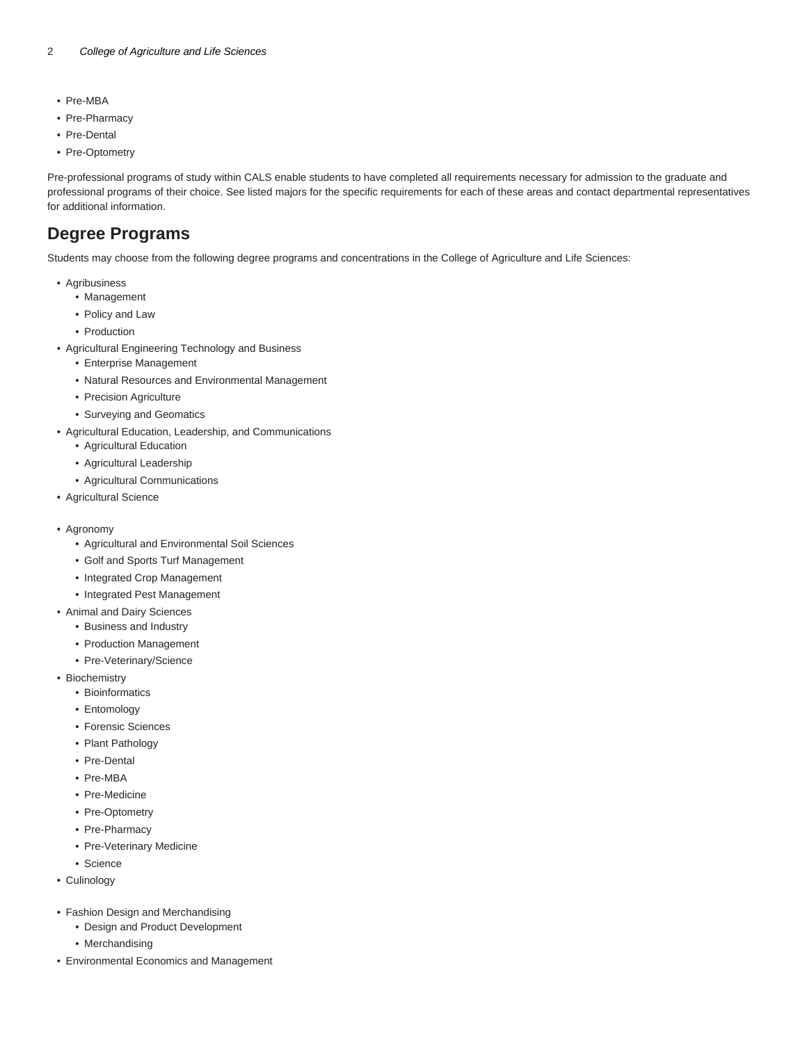- Pre-MBA
- Pre-Pharmacy
- Pre-Dental
- Pre-Optometry

Pre-professional programs of study within CALS enable students to have completed all requirements necessary for admission to the graduate and professional programs of their choice. See listed majors for the specific requirements for each of these areas and contact departmental representatives for additional information.

## **Degree Programs**

Students may choose from the following degree programs and concentrations in the College of Agriculture and Life Sciences:

- Agribusiness
	- Management
	- Policy and Law
	- Production
- Agricultural Engineering Technology and Business
	- Enterprise Management
	- Natural Resources and Environmental Management
	- Precision Agriculture
	- Surveying and Geomatics
- Agricultural Education, Leadership, and Communications
	- Agricultural Education
	- Agricultural Leadership
	- Agricultural Communications
- Agricultural Science
- Agronomy
	- Agricultural and Environmental Soil Sciences
	- Golf and Sports Turf Management
	- Integrated Crop Management
	- Integrated Pest Management
- Animal and Dairy Sciences
	- Business and Industry
	- Production Management
	- Pre-Veterinary/Science
- Biochemistry
	- Bioinformatics
	- Entomology
	- Forensic Sciences
	- Plant Pathology
	- Pre-Dental
	- Pre-MBA
	- Pre-Medicine
	- Pre-Optometry
	- Pre-Pharmacy
	- Pre-Veterinary Medicine
	- Science
- Culinology
- Fashion Design and Merchandising
	- Design and Product Development
	- Merchandising
- Environmental Economics and Management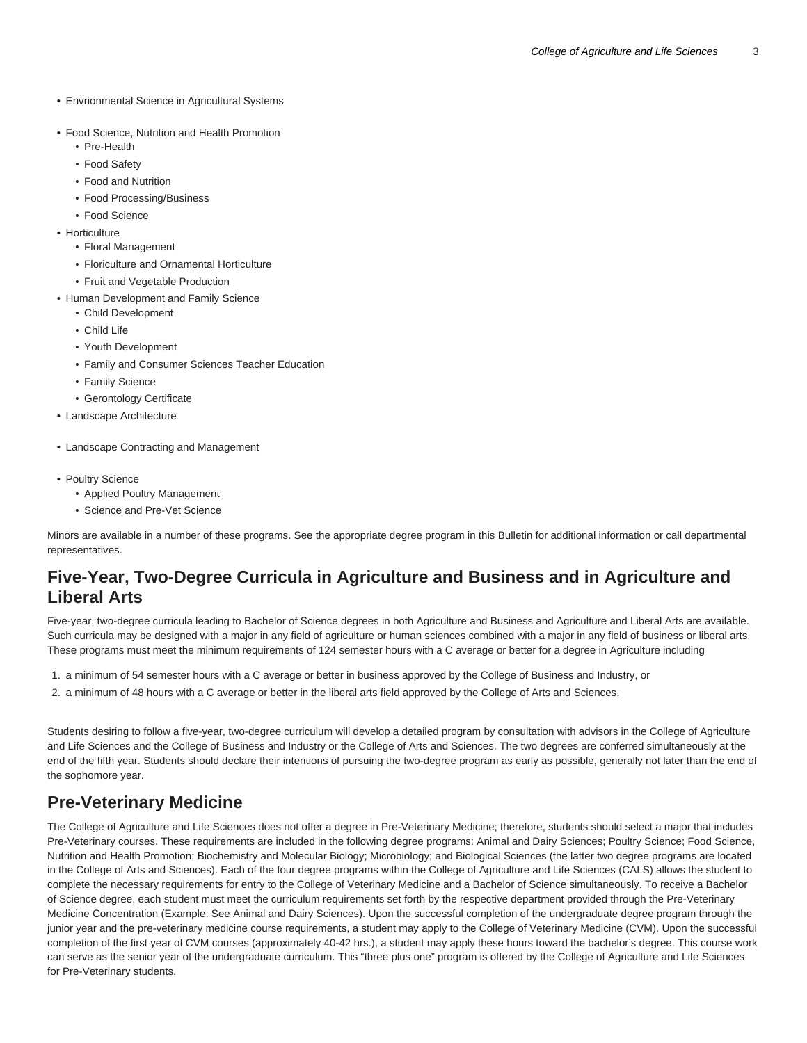- Envrionmental Science in Agricultural Systems
- Food Science, Nutrition and Health Promotion
	- Pre-Health
	- Food Safety
	- Food and Nutrition
	- Food Processing/Business
	- Food Science
- Horticulture
	- Floral Management
	- Floriculture and Ornamental Horticulture
	- Fruit and Vegetable Production
- Human Development and Family Science
	- Child Development
	- Child Life
	- Youth Development
	- Family and Consumer Sciences Teacher Education
	- Family Science
	- Gerontology Certificate
- Landscape Architecture
- Landscape Contracting and Management
- Poultry Science
	- Applied Poultry Management
	- Science and Pre-Vet Science

Minors are available in a number of these programs. See the appropriate degree program in this Bulletin for additional information or call departmental representatives.

#### **Five-Year, Two-Degree Curricula in Agriculture and Business and in Agriculture and Liberal Arts**

Five-year, two-degree curricula leading to Bachelor of Science degrees in both Agriculture and Business and Agriculture and Liberal Arts are available. Such curricula may be designed with a major in any field of agriculture or human sciences combined with a major in any field of business or liberal arts. These programs must meet the minimum requirements of 124 semester hours with a C average or better for a degree in Agriculture including

- 1. a minimum of 54 semester hours with a C average or better in business approved by the College of Business and Industry, or
- 2. a minimum of 48 hours with a C average or better in the liberal arts field approved by the College of Arts and Sciences.

Students desiring to follow a five-year, two-degree curriculum will develop a detailed program by consultation with advisors in the College of Agriculture and Life Sciences and the College of Business and Industry or the College of Arts and Sciences. The two degrees are conferred simultaneously at the end of the fifth year. Students should declare their intentions of pursuing the two-degree program as early as possible, generally not later than the end of the sophomore year.

#### **Pre-Veterinary Medicine**

The College of Agriculture and Life Sciences does not offer a degree in Pre-Veterinary Medicine; therefore, students should select a major that includes Pre-Veterinary courses. These requirements are included in the following degree programs: Animal and Dairy Sciences; Poultry Science; Food Science, Nutrition and Health Promotion; Biochemistry and Molecular Biology; Microbiology; and Biological Sciences (the latter two degree programs are located in the College of Arts and Sciences). Each of the four degree programs within the College of Agriculture and Life Sciences (CALS) allows the student to complete the necessary requirements for entry to the College of Veterinary Medicine and a Bachelor of Science simultaneously. To receive a Bachelor of Science degree, each student must meet the curriculum requirements set forth by the respective department provided through the Pre-Veterinary Medicine Concentration (Example: See Animal and Dairy Sciences). Upon the successful completion of the undergraduate degree program through the junior year and the pre-veterinary medicine course requirements, a student may apply to the College of Veterinary Medicine (CVM). Upon the successful completion of the first year of CVM courses (approximately 40-42 hrs.), a student may apply these hours toward the bachelor's degree. This course work can serve as the senior year of the undergraduate curriculum. This "three plus one" program is offered by the College of Agriculture and Life Sciences for Pre-Veterinary students.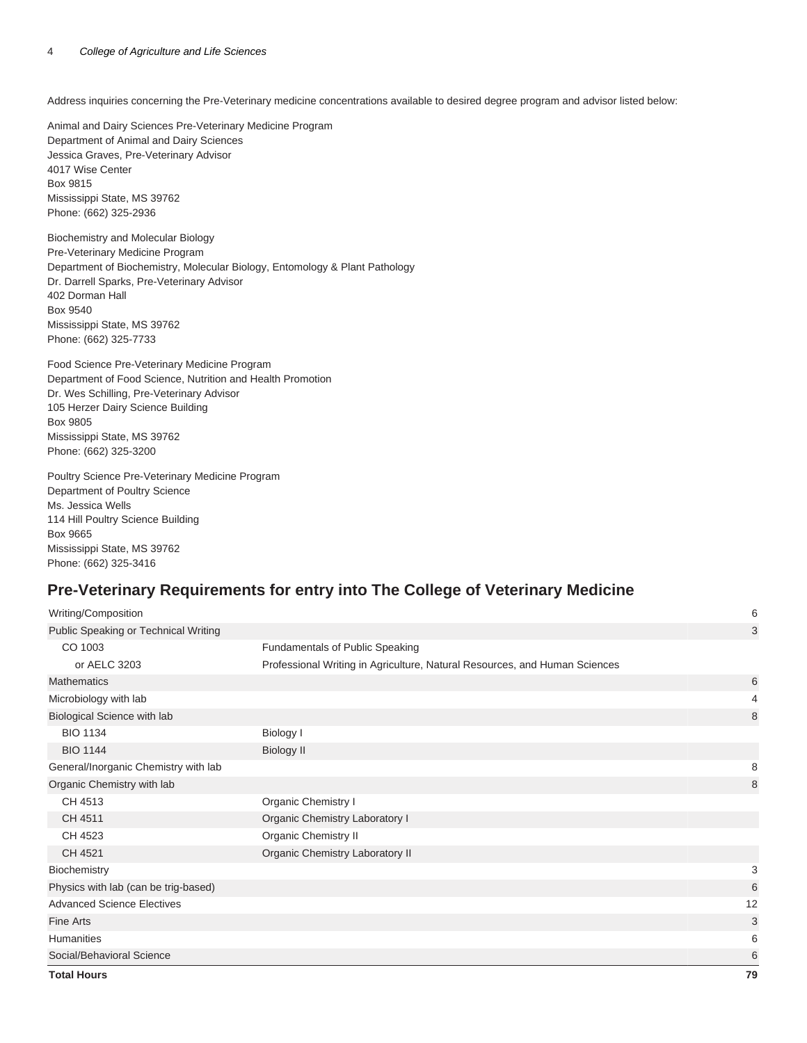Address inquiries concerning the Pre-Veterinary medicine concentrations available to desired degree program and advisor listed below:

Animal and Dairy Sciences Pre-Veterinary Medicine Program Department of Animal and Dairy Sciences Jessica Graves, Pre-Veterinary Advisor 4017 Wise Center Box 9815 Mississippi State, MS 39762 Phone: (662) 325-2936

Biochemistry and Molecular Biology Pre-Veterinary Medicine Program Department of Biochemistry, Molecular Biology, Entomology & Plant Pathology Dr. Darrell Sparks, Pre-Veterinary Advisor 402 Dorman Hall Box 9540 Mississippi State, MS 39762 Phone: (662) 325-7733

Food Science Pre-Veterinary Medicine Program Department of Food Science, Nutrition and Health Promotion Dr. Wes Schilling, Pre-Veterinary Advisor 105 Herzer Dairy Science Building Box 9805 Mississippi State, MS 39762 Phone: (662) 325-3200

Poultry Science Pre-Veterinary Medicine Program Department of Poultry Science Ms. Jessica Wells 114 Hill Poultry Science Building Box 9665 Mississippi State, MS 39762 Phone: (662) 325-3416

#### **Pre-Veterinary Requirements for entry into The College of Veterinary Medicine**

| Writing/Composition                  |                                                                            | 6  |
|--------------------------------------|----------------------------------------------------------------------------|----|
| Public Speaking or Technical Writing |                                                                            | 3  |
| CO 1003                              | Fundamentals of Public Speaking                                            |    |
| or AELC 3203                         | Professional Writing in Agriculture, Natural Resources, and Human Sciences |    |
| <b>Mathematics</b>                   |                                                                            | 6  |
| Microbiology with lab                |                                                                            | 4  |
| Biological Science with lab          |                                                                            | 8  |
| <b>BIO 1134</b>                      | Biology I                                                                  |    |
| <b>BIO 1144</b>                      | <b>Biology II</b>                                                          |    |
| General/Inorganic Chemistry with lab |                                                                            | 8  |
| Organic Chemistry with lab           |                                                                            | 8  |
| CH 4513                              | Organic Chemistry I                                                        |    |
| CH 4511                              | Organic Chemistry Laboratory I                                             |    |
| CH 4523                              | Organic Chemistry II                                                       |    |
| CH 4521                              | Organic Chemistry Laboratory II                                            |    |
| Biochemistry                         |                                                                            | 3  |
| Physics with lab (can be trig-based) |                                                                            | 6  |
| <b>Advanced Science Electives</b>    |                                                                            | 12 |
| <b>Fine Arts</b>                     |                                                                            | 3  |
| <b>Humanities</b>                    |                                                                            | 6  |
| Social/Behavioral Science            |                                                                            | 6  |
| <b>Total Hours</b>                   |                                                                            | 79 |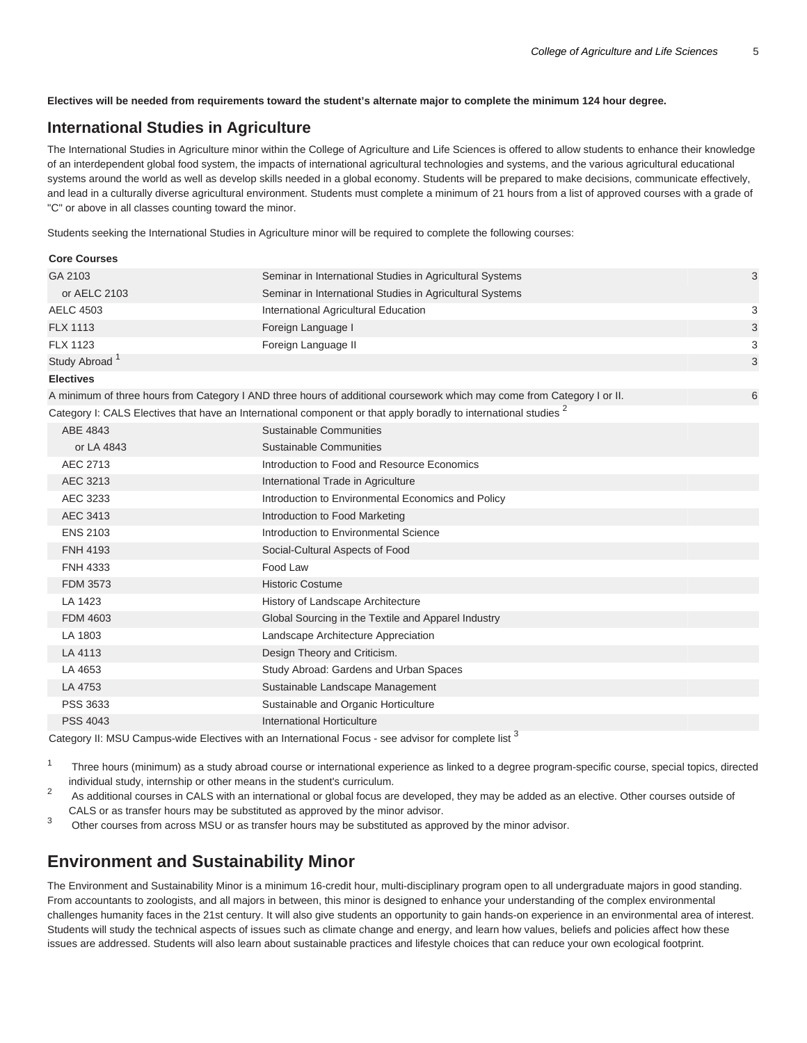**Electives will be needed from requirements toward the student's alternate major to complete the minimum 124 hour degree.**

#### **International Studies in Agriculture**

The International Studies in Agriculture minor within the College of Agriculture and Life Sciences is offered to allow students to enhance their knowledge of an interdependent global food system, the impacts of international agricultural technologies and systems, and the various agricultural educational systems around the world as well as develop skills needed in a global economy. Students will be prepared to make decisions, communicate effectively, and lead in a culturally diverse agricultural environment. Students must complete a minimum of 21 hours from a list of approved courses with a grade of "C" or above in all classes counting toward the minor.

Students seeking the International Studies in Agriculture minor will be required to complete the following courses:

| <b>Core Courses</b>       |                                                                                                                             |   |
|---------------------------|-----------------------------------------------------------------------------------------------------------------------------|---|
| GA 2103                   | Seminar in International Studies in Agricultural Systems                                                                    | 3 |
| or AELC 2103              | Seminar in International Studies in Agricultural Systems                                                                    |   |
| <b>AELC 4503</b>          | International Agricultural Education                                                                                        | 3 |
| <b>FLX 1113</b>           | Foreign Language I                                                                                                          | 3 |
| <b>FLX 1123</b>           | Foreign Language II                                                                                                         | 3 |
| Study Abroad <sup>1</sup> |                                                                                                                             | 3 |
| <b>Electives</b>          |                                                                                                                             |   |
|                           | A minimum of three hours from Category I AND three hours of additional coursework which may come from Category I or II.     | 6 |
|                           | Category I: CALS Electives that have an International component or that apply boradly to international studies <sup>2</sup> |   |
| ABE 4843                  | <b>Sustainable Communities</b>                                                                                              |   |
| or LA 4843                | Sustainable Communities                                                                                                     |   |
| AEC 2713                  | Introduction to Food and Resource Economics                                                                                 |   |
| AEC 3213                  | International Trade in Agriculture                                                                                          |   |
| AEC 3233                  | Introduction to Environmental Economics and Policy                                                                          |   |
| AEC 3413                  | Introduction to Food Marketing                                                                                              |   |
| <b>ENS 2103</b>           | Introduction to Environmental Science                                                                                       |   |
| <b>FNH 4193</b>           | Social-Cultural Aspects of Food                                                                                             |   |
| <b>FNH 4333</b>           | Food Law                                                                                                                    |   |
| <b>FDM 3573</b>           | <b>Historic Costume</b>                                                                                                     |   |
| LA 1423                   | History of Landscape Architecture                                                                                           |   |
| <b>FDM 4603</b>           | Global Sourcing in the Textile and Apparel Industry                                                                         |   |
| LA 1803                   | Landscape Architecture Appreciation                                                                                         |   |
| LA 4113                   | Design Theory and Criticism.                                                                                                |   |
| LA 4653                   | Study Abroad: Gardens and Urban Spaces                                                                                      |   |
| LA 4753                   | Sustainable Landscape Management                                                                                            |   |
| PSS 3633                  | Sustainable and Organic Horticulture                                                                                        |   |
| <b>PSS 4043</b>           | International Horticulture                                                                                                  |   |
|                           | S.                                                                                                                          |   |

Category II: MSU Campus-wide Electives with an International Focus - see advisor for complete list <sup>3</sup>

- 1 Three hours (minimum) as a study abroad course or international experience as linked to a degree program-specific course, special topics, directed individual study, internship or other means in the student's curriculum.
- $\overline{2}$  As additional courses in CALS with an international or global focus are developed, they may be added as an elective. Other courses outside of CALS or as transfer hours may be substituted as approved by the minor advisor.
- 3 Other courses from across MSU or as transfer hours may be substituted as approved by the minor advisor.

## **Environment and Sustainability Minor**

The Environment and Sustainability Minor is a minimum 16-credit hour, multi-disciplinary program open to all undergraduate majors in good standing. From accountants to zoologists, and all majors in between, this minor is designed to enhance your understanding of the complex environmental challenges humanity faces in the 21st century. It will also give students an opportunity to gain hands-on experience in an environmental area of interest. Students will study the technical aspects of issues such as climate change and energy, and learn how values, beliefs and policies affect how these issues are addressed. Students will also learn about sustainable practices and lifestyle choices that can reduce your own ecological footprint.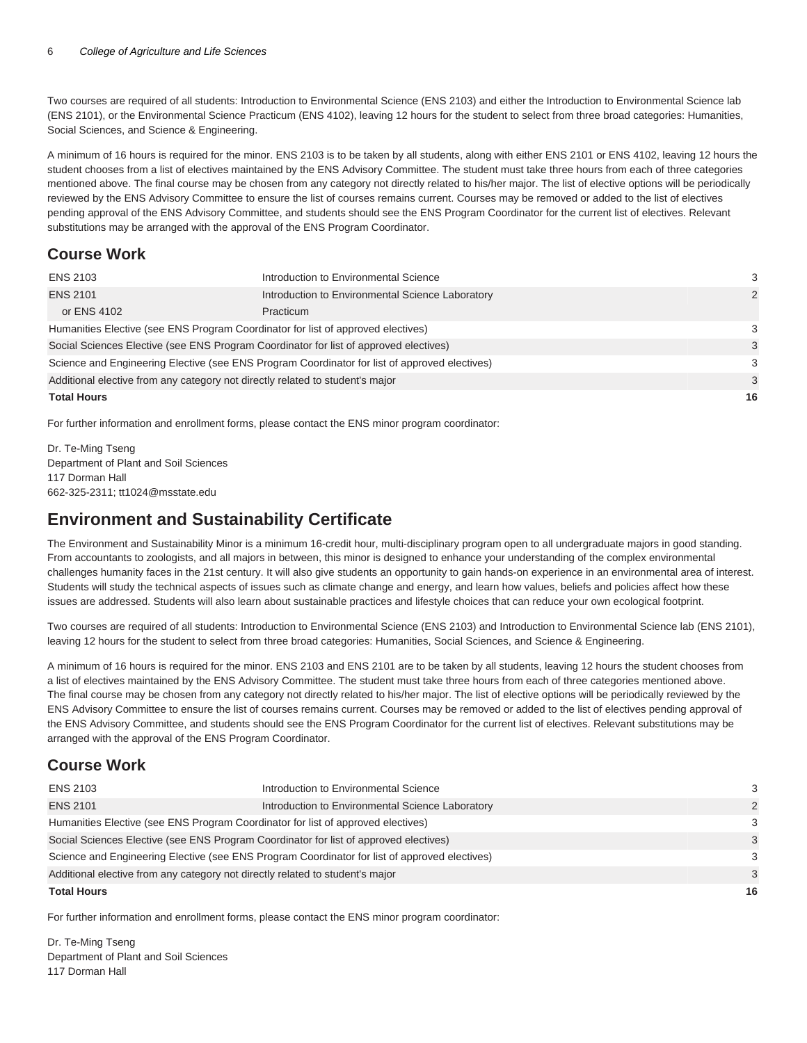Two courses are required of all students: Introduction to Environmental Science (ENS 2103) and either the Introduction to Environmental Science lab (ENS 2101), or the Environmental Science Practicum (ENS 4102), leaving 12 hours for the student to select from three broad categories: Humanities, Social Sciences, and Science & Engineering.

A minimum of 16 hours is required for the minor. ENS 2103 is to be taken by all students, along with either ENS 2101 or ENS 4102, leaving 12 hours the student chooses from a list of electives maintained by the ENS Advisory Committee. The student must take three hours from each of three categories mentioned above. The final course may be chosen from any category not directly related to his/her major. The list of elective options will be periodically reviewed by the ENS Advisory Committee to ensure the list of courses remains current. Courses may be removed or added to the list of electives pending approval of the ENS Advisory Committee, and students should see the ENS Program Coordinator for the current list of electives. Relevant substitutions may be arranged with the approval of the ENS Program Coordinator.

#### **Course Work**

| <b>ENS 2103</b>                                                                               | Introduction to Environmental Science            | 3  |
|-----------------------------------------------------------------------------------------------|--------------------------------------------------|----|
| <b>ENS 2101</b>                                                                               | Introduction to Environmental Science Laboratory | 2  |
| or ENS 4102                                                                                   | Practicum                                        |    |
| Humanities Elective (see ENS Program Coordinator for list of approved electives)              |                                                  |    |
| Social Sciences Elective (see ENS Program Coordinator for list of approved electives)         |                                                  |    |
| Science and Engineering Elective (see ENS Program Coordinator for list of approved electives) |                                                  | 3  |
| Additional elective from any category not directly related to student's major                 |                                                  | 3  |
| <b>Total Hours</b>                                                                            |                                                  | 16 |

For further information and enrollment forms, please contact the ENS minor program coordinator:

Dr. Te-Ming Tseng Department of Plant and Soil Sciences 117 Dorman Hall 662-325-2311; [tt1024@msstate.edu](mailto:tt1024@msstate.edu)

### **Environment and Sustainability Certificate**

The Environment and Sustainability Minor is a minimum 16-credit hour, multi-disciplinary program open to all undergraduate majors in good standing. From accountants to zoologists, and all majors in between, this minor is designed to enhance your understanding of the complex environmental challenges humanity faces in the 21st century. It will also give students an opportunity to gain hands-on experience in an environmental area of interest. Students will study the technical aspects of issues such as climate change and energy, and learn how values, beliefs and policies affect how these issues are addressed. Students will also learn about sustainable practices and lifestyle choices that can reduce your own ecological footprint.

Two courses are required of all students: Introduction to Environmental Science (ENS 2103) and Introduction to Environmental Science lab (ENS 2101), leaving 12 hours for the student to select from three broad categories: Humanities, Social Sciences, and Science & Engineering.

A minimum of 16 hours is required for the minor. ENS 2103 and ENS 2101 are to be taken by all students, leaving 12 hours the student chooses from a list of electives maintained by the ENS Advisory Committee. The student must take three hours from each of three categories mentioned above. The final course may be chosen from any category not directly related to his/her major. The list of elective options will be periodically reviewed by the ENS Advisory Committee to ensure the list of courses remains current. Courses may be removed or added to the list of electives pending approval of the ENS Advisory Committee, and students should see the ENS Program Coordinator for the current list of electives. Relevant substitutions may be arranged with the approval of the ENS Program Coordinator.

#### **Course Work**

| <b>ENS 2103</b>                                                                               | Introduction to Environmental Science            | 3             |
|-----------------------------------------------------------------------------------------------|--------------------------------------------------|---------------|
| <b>ENS 2101</b>                                                                               | Introduction to Environmental Science Laboratory | $\mathcal{P}$ |
| Humanities Elective (see ENS Program Coordinator for list of approved electives)              |                                                  | $\mathcal{B}$ |
| Social Sciences Elective (see ENS Program Coordinator for list of approved electives)         |                                                  | $\mathcal{A}$ |
| Science and Engineering Elective (see ENS Program Coordinator for list of approved electives) |                                                  | $\mathcal{B}$ |
| Additional elective from any category not directly related to student's major                 |                                                  | $\mathcal{A}$ |
| <b>Total Hours</b>                                                                            |                                                  | 16            |

For further information and enrollment forms, please contact the ENS minor program coordinator:

Dr. Te-Ming Tseng Department of Plant and Soil Sciences 117 Dorman Hall